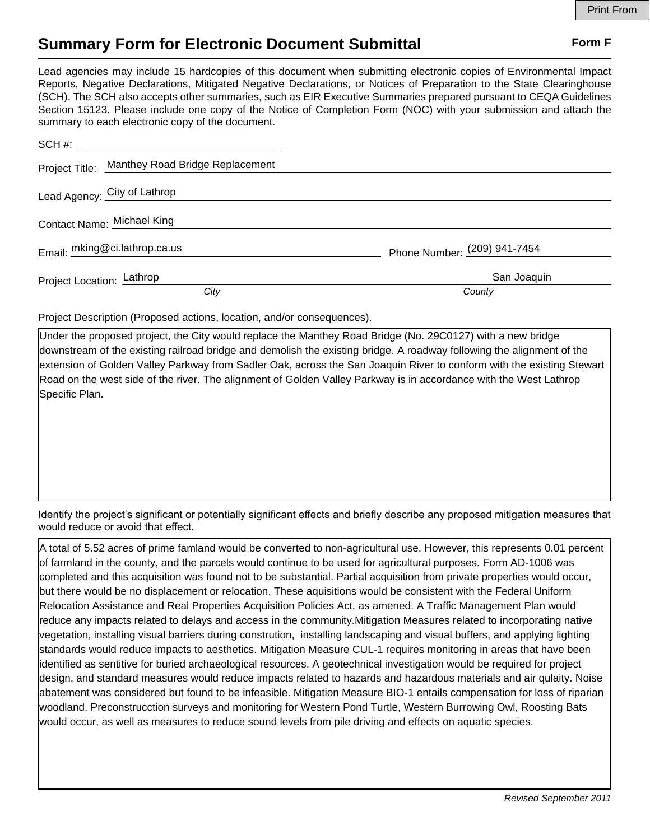## **Summary Form for Electronic Document Submittal Form F Form F**

Lead agencies may include 15 hardcopies of this document when submitting electronic copies of Environmental Impact Reports, Negative Declarations, Mitigated Negative Declarations, or Notices of Preparation to the State Clearinghouse (SCH). The SCH also accepts other summaries, such as EIR Executive Summaries prepared pursuant to CEQA Guidelines Section 15123. Please include one copy of the Notice of Completion Form (NOC) with your submission and attach the summary to each electronic copy of the document.

| Project Title: Manthey Road Bridge Replacement |                              |
|------------------------------------------------|------------------------------|
| Lead Agency: City of Lathrop                   |                              |
| Contact Name: Michael King                     |                              |
| Email: mking@ci.lathrop.ca.us                  | Phone Number: (209) 941-7454 |
| Project Location: Lathrop                      | San Joaquin                  |
| City                                           | County                       |

Project Description (Proposed actions, location, and/or consequences).

Under the proposed project, the City would replace the Manthey Road Bridge (No. 29C0127) with a new bridge downstream of the existing railroad bridge and demolish the existing bridge. A roadway following the alignment of the extension of Golden Valley Parkway from Sadler Oak, across the San Joaquin River to conform with the existing Stewart Road on the west side of the river. The alignment of Golden Valley Parkway is in accordance with the West Lathrop Specific Plan.

Identify the project's significant or potentially significant effects and briefly describe any proposed mitigation measures that would reduce or avoid that effect.

A total of 5.52 acres of prime famland would be converted to non-agricultural use. However, this represents 0.01 percent of farmland in the county, and the parcels would continue to be used for agricultural purposes. Form AD-1006 was completed and this acquisition was found not to be substantial. Partial acquisition from private properties would occur, but there would be no displacement or relocation. These aquisitions would be consistent with the Federal Uniform Relocation Assistance and Real Properties Acquisition Policies Act, as amened. A Traffic Management Plan would reduce any impacts related to delays and access in the community.Mitigation Measures related to incorporating native vegetation, installing visual barriers during constrution, installing landscaping and visual buffers, and applying lighting standards would reduce impacts to aesthetics. Mitigation Measure CUL-1 requires monitoring in areas that have been identified as sentitive for buried archaeological resources. A geotechnical investigation would be required for project design, and standard measures would reduce impacts related to hazards and hazardous materials and air qulaity. Noise abatement was considered but found to be infeasible. Mitigation Measure BIO-1 entails compensation for loss of riparian woodland. Preconstrucction surveys and monitoring for Western Pond Turtle, Western Burrowing Owl, Roosting Bats would occur, as well as measures to reduce sound levels from pile driving and effects on aquatic species.